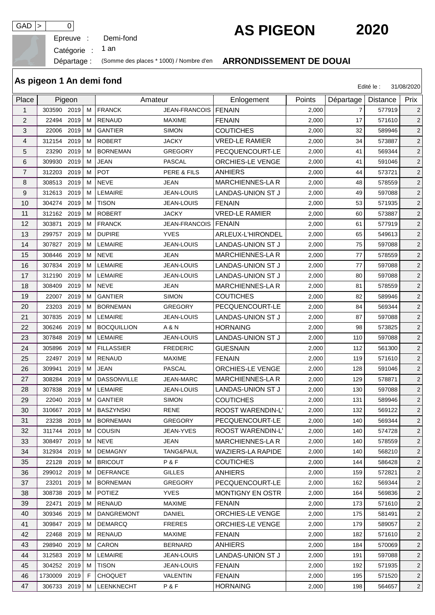Epreuve :

## GAD > 0 **C** Demi-fond<br> **AS PIGEON 2020**

Catégorie :

an

## Départage : (Somme des places \* 1000) / Nombre d'en **ARRONDISSEMENT DE DOUAI**

|                | As pigeon 1 An demi fond |      |    |                    |                        |                          |        |                | Edité le : | 31/08/2020     |
|----------------|--------------------------|------|----|--------------------|------------------------|--------------------------|--------|----------------|------------|----------------|
| Place          | Pigeon                   |      |    | Amateur            |                        | Enlogement               | Points | Départage      | Distance   | Prix           |
| $\mathbf{1}$   | 303590 2019              |      | M  | <b>FRANCK</b>      | JEAN-FRANCOIS   FENAIN |                          | 2,000  | $\overline{7}$ | 577919     | $\overline{2}$ |
| $\overline{2}$ | 22494                    | 2019 | м  | <b>RENAUD</b>      | <b>MAXIME</b>          | <b>FENAIN</b>            | 2,000  | 17             | 571610     | $\overline{2}$ |
| 3              | 22006                    | 2019 | м  | <b>GANTIER</b>     | <b>SIMON</b>           | <b>COUTICHES</b>         | 2,000  | 32             | 589946     | $\overline{2}$ |
| 4              | 312154                   | 2019 | м  | <b>ROBERT</b>      | <b>JACKY</b>           | <b>VRED-LE RAMIER</b>    | 2,000  | 34             | 573887     | $\overline{2}$ |
| 5              | 23290                    | 2019 | м  | <b>BORNEMAN</b>    | <b>GREGORY</b>         | PECQUENCOURT-LE          | 2,000  | 41             | 569344     | $\overline{2}$ |
| 6              | 309930                   | 2019 | м  | <b>JEAN</b>        | <b>PASCAL</b>          | ORCHIES-LE VENGE         | 2,000  | 41             | 591046     | $\overline{2}$ |
| 7              | 312203                   | 2019 | м  | <b>POT</b>         | PERE & FILS            | <b>ANHIERS</b>           | 2,000  | 44             | 573721     | $\overline{2}$ |
| 8              | 308513                   | 2019 | м  | <b>NEVE</b>        | JEAN                   | <b>MARCHIENNES-LAR</b>   | 2,000  | 48             | 578559     | $\overline{2}$ |
| 9              | 312613                   | 2019 | м  | LEMAIRE            | <b>JEAN-LOUIS</b>      | <b>LANDAS-UNION ST J</b> | 2,000  | 49             | 597088     | $\overline{2}$ |
| 10             | 304274                   | 2019 | м  | <b>TISON</b>       | <b>JEAN-LOUIS</b>      | <b>FENAIN</b>            | 2,000  | 53             | 571935     | $\overline{2}$ |
| 11             | 312162                   | 2019 | м  | <b>ROBERT</b>      | <b>JACKY</b>           | <b>VRED-LE RAMIER</b>    | 2,000  | 60             | 573887     | $\overline{a}$ |
| 12             | 303871                   | 2019 | м  | <b>FRANCK</b>      | <b>JEAN-FRANCOIS</b>   | <b>FENAIN</b>            | 2,000  | 61             | 577919     | $\overline{2}$ |
| 13             | 299757                   | 2019 | м  | <b>DUPIRE</b>      | <b>YVES</b>            | ARLEUX-L'HIRONDEL        | 2,000  | 65             | 549613     | $\overline{2}$ |
| 14             | 307827                   | 2019 | м  | <b>LEMAIRE</b>     | <b>JEAN-LOUIS</b>      | <b>LANDAS-UNION ST J</b> | 2,000  | 75             | 597088     | $\overline{2}$ |
| 15             | 308446                   | 2019 | м  | <b>NEVE</b>        | JEAN                   | <b>MARCHIENNES-LAR</b>   | 2,000  | 77             | 578559     | $\overline{c}$ |
| 16             | 307834                   | 2019 | м  | <b>LEMAIRE</b>     | <b>JEAN-LOUIS</b>      | <b>LANDAS-UNION ST J</b> | 2,000  | 77             | 597088     | $\overline{2}$ |
| 17             | 312190                   | 2019 | м  | LEMAIRE            | <b>JEAN-LOUIS</b>      | <b>LANDAS-UNION ST J</b> | 2,000  | 80             | 597088     | $\overline{2}$ |
| 18             | 308409                   | 2019 | м  | <b>NEVE</b>        | JEAN                   | MARCHIENNES-LA R         | 2,000  | 81             | 578559     | $\overline{2}$ |
| 19             | 22007                    | 2019 | м  | <b>GANTIER</b>     | <b>SIMON</b>           | <b>COUTICHES</b>         | 2,000  | 82             | 589946     | $\sqrt{2}$     |
| 20             | 23203                    | 2019 | м  | <b>BORNEMAN</b>    | <b>GREGORY</b>         | PECQUENCOURT-LE          | 2,000  | 84             | 569344     | $\overline{2}$ |
| 21             | 307835                   | 2019 | м  | LEMAIRE            | <b>JEAN-LOUIS</b>      | LANDAS-UNION ST J        | 2,000  | 87             | 597088     | $\overline{2}$ |
| 22             | 306246                   | 2019 | м  | <b>BOCQUILLION</b> | A & N                  | <b>HORNAING</b>          | 2,000  | 98             | 573825     | $\overline{2}$ |
| 23             | 307848                   | 2019 | м  | <b>LEMAIRE</b>     | <b>JEAN-LOUIS</b>      | <b>LANDAS-UNION ST J</b> | 2,000  | 110            | 597088     | $\overline{2}$ |
| 24             | 305896                   | 2019 | м  | <b>FILLASSIER</b>  | <b>FREDERIC</b>        | <b>GUESNAIN</b>          | 2,000  | 112            | 561300     | $\overline{2}$ |
| 25             | 22497                    | 2019 | м  | <b>RENAUD</b>      | <b>MAXIME</b>          | <b>FENAIN</b>            | 2,000  | 119            | 571610     | $\overline{2}$ |
| 26             | 309941                   | 2019 | м  | <b>JEAN</b>        | <b>PASCAL</b>          | <b>ORCHIES-LE VENGE</b>  | 2,000  | 128            | 591046     | $\overline{2}$ |
| 27             | 308284                   | 2019 | м  | <b>DASSONVILLE</b> | <b>JEAN-MARC</b>       | <b>MARCHIENNES-LA R</b>  | 2,000  | 129            | 578871     | $\overline{2}$ |
| 28             | 307838                   | 2019 | M  | <b>LEMAIRE</b>     | JEAN-LOUIS             | <b>LANDAS-UNION ST J</b> | 2,000  | 130            | 597088     | $\overline{2}$ |
| 29             | 22040                    | 2019 | м  | <b>GANTIER</b>     | <b>SIMON</b>           | <b>COUTICHES</b>         | 2,000  | 131            | 589946     | $\overline{2}$ |
| 30             | 310667 2019              |      | M  | <b>BASZYNSKI</b>   | RENE                   | ROOST WARENDIN-L'        | 2,000  | 132            | 569122     | $\overline{2}$ |
| 31             | 23238 2019               |      | M  | <b>BORNEMAN</b>    | <b>GREGORY</b>         | PECQUENCOURT-LE          | 2,000  | 140            | 569344     | $\overline{2}$ |
| 32             | 311744 2019              |      | м  | <b>COUSIN</b>      | JEAN-YVES              | <b>ROOST WARENDIN-L'</b> | 2,000  | 140            | 574728     | $\overline{2}$ |
| 33             | 308497 2019              |      | M  | <b>NEVE</b>        | JEAN                   | <b>MARCHIENNES-LA R</b>  | 2,000  | 140            | 578559     | $\overline{2}$ |
| 34             | 312934 2019              |      | м  | <b>DEMAGNY</b>     | TANG&PAUL              | <b>WAZIERS-LA RAPIDE</b> | 2,000  | 140            | 568210     | $\overline{2}$ |
| 35             | 22128 2019               |      | M  | <b>BRICOUT</b>     | P&F                    | <b>COUTICHES</b>         | 2,000  | 144            | 586428     | $\overline{2}$ |
| 36             | 299012 2019              |      | м  | <b>DEFRANCE</b>    | <b>GILLES</b>          | <b>ANHIERS</b>           | 2,000  | 159            | 572821     | $\overline{2}$ |
| 37             | 23201                    | 2019 | м  | <b>BORNEMAN</b>    | <b>GREGORY</b>         | PECQUENCOURT-LE          | 2,000  | 162            | 569344     | $\overline{2}$ |
| 38             | 308738 2019              |      | M  | <b>POTIEZ</b>      | <b>YVES</b>            | <b>MONTIGNY EN OSTR</b>  | 2,000  | 164            | 569836     | $\overline{a}$ |
| 39             | 22471                    | 2019 | M  | <b>RENAUD</b>      | <b>MAXIME</b>          | <b>FENAIN</b>            | 2,000  | 173            | 571610     | $\overline{2}$ |
| 40             | 309346 2019              |      | м  | <b>DANGREMONT</b>  | <b>DANIEL</b>          | <b>ORCHIES-LE VENGE</b>  | 2,000  | 175            | 581491     | $\overline{2}$ |
| 41             | 309847 2019              |      | M  | <b>DEMARCQ</b>     | <b>FRERES</b>          | <b>ORCHIES-LE VENGE</b>  | 2,000  | 179            | 589057     | $\overline{2}$ |
| 42             | 22468                    | 2019 | м  | <b>RENAUD</b>      | MAXIME                 | <b>FENAIN</b>            | 2,000  | 182            | 571610     | $\overline{2}$ |
| 43             | 298940 2019              |      | м  | CARON              | <b>BERNARD</b>         | <b>ANHIERS</b>           | 2,000  | 184            | 570069     | $\overline{2}$ |
| 44             | 312583 2019              |      | M  | LEMAIRE            | JEAN-LOUIS             | LANDAS-UNION ST J        | 2,000  | 191            | 597088     | $\overline{2}$ |
| 45             | 304252 2019              |      | м  | <b>TISON</b>       | JEAN-LOUIS             | <b>FENAIN</b>            | 2,000  | 192            | 571935     | $\overline{2}$ |
| 46             | 1730009 2019             |      | F. | <b>CHOQUET</b>     | VALENTIN               | <b>FENAIN</b>            | 2,000  | 195            | 571520     | $\overline{2}$ |
| 47             | 306733 2019              |      | М  | LEENKNECHT         | P&F                    | <b>HORNAING</b>          | 2,000  | 198            | 564657     | $\overline{2}$ |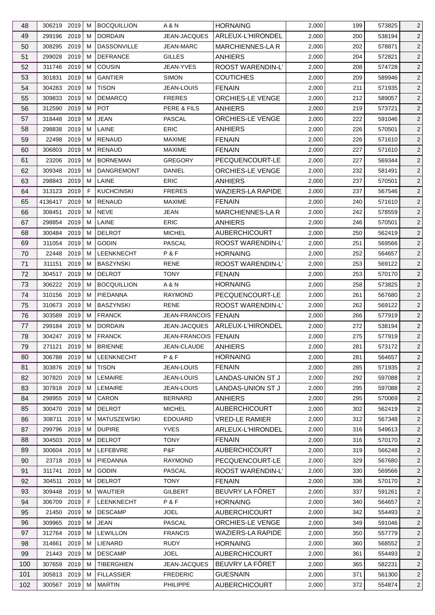| 48       | 306219 2019    | м      | <b>BOCQUILLION</b>                | A & N                  | <b>HORNAING</b>                      | 2,000          | 199        | 573825           | $\overline{2}$                   |
|----------|----------------|--------|-----------------------------------|------------------------|--------------------------------------|----------------|------------|------------------|----------------------------------|
| 49       | 299196 2019    | M      | <b>DORDAIN</b>                    | JEAN-JACQUES           | ARLEUX-L'HIRONDEL                    | 2,000          | 200        | 538194           | $\overline{c}$                   |
| 50       | 2019<br>308295 | м      | <b>DASSONVILLE</b>                | <b>JEAN-MARC</b>       | <b>MARCHIENNES-LAR</b>               | 2,000          | 202        | 578871           | $\overline{2}$                   |
| 51       | 2019<br>299028 | м      | <b>DEFRANCE</b>                   | <b>GILLES</b>          | <b>ANHIERS</b>                       | 2,000          | 204        | 572821           | $\overline{2}$                   |
| 52       | 311746 2019    | M      | <b>COUSIN</b>                     | JEAN-YVES              | ROOST WARENDIN-L'                    | 2,000          | 208        | 574728           | $\overline{2}$                   |
| 53       | 301831<br>2019 | м      | <b>GANTIER</b>                    | <b>SIMON</b>           | <b>COUTICHES</b>                     | 2,000          | 209        | 589946           | $\overline{c}$                   |
| 54       | 2019<br>304283 | м      | <b>TISON</b>                      | JEAN-LOUIS             | <b>FENAIN</b>                        | 2,000          | 211        | 571935           | $\overline{c}$                   |
| 55       | 309833 2019    | м      | <b>DEMARCQ</b>                    | <b>FRERES</b>          | <b>ORCHIES-LE VENGE</b>              | 2,000          | 212        | 589057           | $\overline{c}$                   |
| 56       | 312590 2019    | м      | POT                               | PERE & FILS            | <b>ANHIERS</b>                       | 2,000          | 219        | 573721           | 2                                |
| 57       | 2019<br>318448 | м      | <b>JEAN</b>                       | <b>PASCAL</b>          | ORCHIES-LE VENGE                     | 2,000          | 222        | 591046           | $\overline{2}$                   |
| 58       | 2019<br>298838 | м      | LAINE                             | ERIC                   | <b>ANHIERS</b>                       | 2,000          | 226        | 570501           | $\overline{c}$                   |
| 59       | 22498 2019     | м      | <b>RENAUD</b>                     | <b>MAXIME</b>          | <b>FENAIN</b>                        | 2,000          | 226        | 571610           | $\overline{c}$                   |
| 60       | 306803 2019    | м      | <b>RENAUD</b>                     | <b>MAXIME</b>          | <b>FENAIN</b>                        | 2,000          | 227        | 571610           | $\overline{c}$                   |
| 61       | 23206<br>2019  | M      | <b>BORNEMAN</b>                   | <b>GREGORY</b>         | PECQUENCOURT-LE                      | 2,000          | 227        | 569344           | $\overline{2}$                   |
| 62       | 2019<br>309348 | м      | <b>DANGREMONT</b>                 | DANIEL                 | ORCHIES-LE VENGE                     | 2,000          | 232        | 581491           | $\overline{c}$                   |
| 63       | 298843 2019    | м      | <b>LAINE</b>                      | <b>ERIC</b>            | <b>ANHIERS</b>                       | 2,000          | 237        | 570501           | $\overline{c}$                   |
| 64       | 313123 2019    | E      | <b>KUCHCINSKI</b>                 | <b>FRERES</b>          | <b>WAZIERS-LA RAPIDE</b>             | 2,000          | 237        | 567546           | $\overline{c}$                   |
| 65       | 4136417 2019   | м      | <b>RENAUD</b>                     | <b>MAXIME</b>          | <b>FENAIN</b>                        | 2,000          | 240        | 571610           | $\overline{c}$                   |
| 66       | 308451<br>2019 | м      | <b>NEVE</b>                       | <b>JEAN</b>            | MARCHIENNES-LA R                     | 2,000          | 242        | 578559           | $\overline{c}$                   |
| 67       | 298854 2019    | м      | LAINE                             | <b>ERIC</b>            | <b>ANHIERS</b>                       | 2,000          | 246        | 570501           | 2                                |
| 68       | 300484<br>2019 | M      | <b>DELROT</b>                     | <b>MICHEL</b>          | <b>AUBERCHICOURT</b>                 | 2,000          | 250        | 562419           | $\overline{2}$                   |
| 69       | 2019<br>311054 | м      | <b>GODIN</b>                      | <b>PASCAL</b>          | ROOST WARENDIN-L'                    | 2,000          | 251        | 569566           | $\overline{c}$                   |
| 70       | 22448 2019     | м      | LEENKNECHT                        | P&F                    | <b>HORNAING</b>                      | 2,000          | 252        | 564657           | $\overline{c}$                   |
| 71       | 311151<br>2019 | м      | <b>BASZYNSKI</b>                  | <b>RENE</b>            | ROOST WARENDIN-L'                    | 2,000          | 253        | 569122           | $\overline{c}$                   |
| 72       | 304517<br>2019 | M      | <b>DELROT</b>                     | <b>TONY</b>            | <b>FENAIN</b>                        | 2,000          | 253        | 570170           | $\overline{2}$                   |
| 73       | 306222 2019    | м      | <b>BOCQUILLION</b>                | A & N                  | <b>HORNAING</b>                      | 2,000          | 258        | 573825           | $\overline{c}$                   |
|          | 310156 2019    |        | PIEDANNA                          | <b>RAYMOND</b>         |                                      |                |            |                  |                                  |
| 74<br>75 | 310673 2019    | M<br>м | <b>BASZYNSKI</b>                  | <b>RENE</b>            | PECQUENCOURT-LE<br>ROOST WARENDIN-L' | 2,000<br>2,000 | 261<br>262 | 567680<br>569122 | $\overline{c}$<br>$\overline{2}$ |
| 76       | 303589 2019    | м      | <b>FRANCK</b>                     | JEAN-FRANCOIS   FENAIN |                                      | 2,000          | 266        | 577919           | 2                                |
| 77       | 299184 2019    | м      | <b>DORDAIN</b>                    | JEAN-JACQUES           | ARLEUX-L'HIRONDEL                    | 2,000          | 272        | 538194           | $\overline{2}$                   |
| 78       | 304247 2019    | M      | <b>FRANCK</b>                     | JEAN-FRANCOIS   FENAIN |                                      | 2,000          | 275        | 577919           | $\overline{2}$                   |
|          |                |        |                                   | JEAN-CLAUDE            | <b>ANHIERS</b>                       |                |            |                  |                                  |
| 79       | 271121<br>2019 | M      | <b>BRIENNE</b>                    | P & F                  |                                      | 2,000          | 281        | 573172           | $\overline{2}$                   |
| 80       | 306788 2019    | M      | <b>LEENKNECHT</b><br><b>TISON</b> |                        | <b>HORNAING</b>                      | 2,000<br>2,000 | 281        | 564657           | $\overline{2}$                   |
| 81       | 303876 2019    | M      |                                   | JEAN-LOUIS             | <b>FENAIN</b>                        |                | 285        | 571935           | $\overline{2}$                   |
| 82       | 307820<br>2019 | м      | LEMAIRE                           | JEAN-LOUIS             | <b>LANDAS-UNION ST J</b>             | 2,000          | 292        | 597088           | $\overline{2}$                   |
| 83       | 2019<br>307818 | M      | LEMAIRE                           | JEAN-LOUIS             | LANDAS-UNION ST J                    | 2,000          | 295        | 597088           | $\overline{2}$                   |
| 84       | 298955 2019    | м      | CARON                             | <b>BERNARD</b>         | <b>ANHIERS</b>                       | 2,000          | 295        | 570069           | $\overline{2}$                   |
| 85       | 300470 2019    | M      | <b>DELROT</b>                     | <b>MICHEL</b>          | <b>AUBERCHICOURT</b>                 | 2,000          | 302        | 562419           | $\overline{2}$                   |
| 86       | 308711<br>2019 | м      | <b>MATUSZEWSKI</b>                | <b>EDOUARD</b>         | <b>VRED-LE RAMIER</b>                | 2,000          | 312        | 567348           | $\overline{c}$                   |
| 87       | 299796 2019    | м      | <b>DUPIRE</b>                     | <b>YVES</b>            | ARLEUX-L'HIRONDEL                    | 2,000          | 316        | 549613           | $\overline{2}$                   |
| 88       | 304503 2019    | м      | <b>DELROT</b>                     | <b>TONY</b>            | <b>FENAIN</b>                        | 2,000          | 316        | 570170           | $\overline{2}$                   |
| 89       | 300604 2019    | М      | LEFEBVRE                          | P&F                    | <b>AUBERCHICOURT</b>                 | 2,000          | 319        | 566248           | $\overline{c}$                   |
| 90       | 23718 2019     | м      | PIEDANNA                          | <b>RAYMOND</b>         | PECQUENCOURT-LE                      | 2,000          | 329        | 567680           | $\overline{2}$                   |
| 91       | 311741<br>2019 | м      | <b>GODIN</b>                      | <b>PASCAL</b>          | ROOST WARENDIN-L'                    | 2,000          | 330        | 569566           | $\overline{2}$                   |
| 92       | 2019<br>304511 | м      | <b>DELROT</b>                     | <b>TONY</b>            | <b>FENAIN</b>                        | 2,000          | 336        | 570170           | $\overline{2}$                   |
| 93       | 309448<br>2019 | М      | <b>WAUTIER</b>                    | <b>GILBERT</b>         | BEUVRY LA FÔRET                      | 2,000          | 337        | 591261           | $\overline{2}$                   |
| 94       | 2019<br>306709 | F.     | LEENKNECHT                        | P&F                    | <b>HORNAING</b>                      | 2,000          | 340        | 564657           | $\overline{2}$                   |
| 95       | 21450 2019     | м      | <b>DESCAMP</b>                    | <b>JOEL</b>            | <b>AUBERCHICOURT</b>                 | 2,000          | 342        | 554493           | $\overline{2}$                   |
| 96       | 309965 2019    | М      | <b>JEAN</b>                       | <b>PASCAL</b>          | <b>ORCHIES-LE VENGE</b>              | 2,000          | 349        | 591046           | $\overline{2}$                   |
| 97       | 312764<br>2019 | м      | <b>LEWILLON</b>                   | <b>FRANCIS</b>         | <b>WAZIERS-LA RAPIDE</b>             | 2,000          | 350        | 557779           | $\overline{c}$                   |
| 98       | 314661<br>2019 | м      | LIENARD                           | RUDY                   | <b>HORNAING</b>                      | 2,000          | 360        | 568552           | $\overline{2}$                   |
| 99       | 21443 2019     | м      | <b>DESCAMP</b>                    | <b>JOEL</b>            | <b>AUBERCHICOURT</b>                 | 2,000          | 361        | 554493           | $\overline{2}$                   |
| 100      | 307659 2019    | м      | <b>TIBERGHIEN</b>                 | JEAN-JACQUES           | BEUVRY LA FÔRET                      | 2,000          | 365        | 582231           | 2                                |
| 101      | 305813 2019    | М      | <b>FILLASSIER</b>                 | <b>FREDERIC</b>        | <b>GUESNAIN</b>                      | 2,000          | 371        | 561300           | $\overline{2}$                   |
| 102      | 300567 2019    | M      | <b>MARTIN</b>                     | PHILIPPE               | AUBERCHICOURT                        | 2,000          | 372        | 554874           | $\sqrt{2}$                       |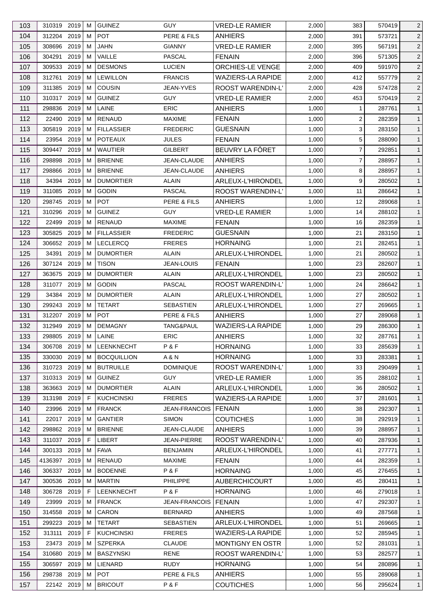| 103 | 310319 2019          |      | м  | <b>GUINEZ</b>                      | <b>GUY</b>                   | <b>VRED-LE RAMIER</b>                               | 2,000 | 383            | 570419 | $\overline{2}$               |
|-----|----------------------|------|----|------------------------------------|------------------------------|-----------------------------------------------------|-------|----------------|--------|------------------------------|
| 104 | 312204               | 2019 | м  | <b>POT</b>                         | PERE & FILS                  | <b>ANHIERS</b>                                      | 2,000 | 391            | 573721 | $\overline{c}$               |
| 105 | 308696               | 2019 | M  | <b>JAHN</b>                        | <b>GIANNY</b>                | <b>VRED-LE RAMIER</b>                               | 2,000 | 395            | 567191 | $\overline{2}$               |
| 106 | 304291               | 2019 | м  | VAILLE                             | PASCAL                       | <b>FENAIN</b>                                       | 2,000 | 396            | 571305 | $\overline{2}$               |
| 107 | 309533               | 2019 | м  | <b>DESMONS</b>                     | <b>LUCIEN</b>                | <b>ORCHIES-LE VENGE</b>                             | 2,000 | 409            | 591970 | $\overline{2}$               |
| 108 | 312761               | 2019 | м  | <b>LEWILLON</b>                    | <b>FRANCIS</b>               | <b>WAZIERS-LA RAPIDE</b>                            | 2,000 | 412            | 557779 | $\overline{c}$               |
| 109 | 311385               | 2019 | м  | <b>COUSIN</b>                      | <b>JEAN-YVES</b>             | <b>ROOST WARENDIN-L'</b>                            | 2,000 | 428            | 574728 | $\overline{2}$               |
| 110 | 310317 2019          |      | м  | <b>GUINEZ</b>                      | <b>GUY</b>                   | <b>VRED-LE RAMIER</b>                               | 2,000 | 453            | 570419 | $\overline{c}$               |
| 111 | 298836               | 2019 | м  | LAINE                              | <b>ERIC</b>                  | <b>ANHIERS</b>                                      | 1,000 | $\mathbf{1}$   | 287761 | $\mathbf{1}$                 |
| 112 | 22490                | 2019 | м  | <b>RENAUD</b>                      | <b>MAXIME</b>                | <b>FENAIN</b>                                       | 1,000 | $\overline{2}$ | 282359 | $\mathbf{1}$                 |
| 113 | 305819               | 2019 | м  | <b>FILLASSIER</b>                  | <b>FREDERIC</b>              | <b>GUESNAIN</b>                                     | 1,000 | 3              | 283150 | $\mathbf{1}$                 |
| 114 | 23954 2019           |      | м  | <b>POTEAUX</b>                     | <b>JULES</b>                 | <b>FENAIN</b>                                       | 1,000 | 5              | 288090 | $\mathbf{1}$                 |
| 115 | 309447               | 2019 | м  | <b>WAUTIER</b>                     | GILBERT                      | BEUVRY LA FÔRET                                     | 1,000 | $\overline{7}$ | 292851 | $\mathbf{1}$                 |
| 116 | 298898               | 2019 | M  | <b>BRIENNE</b>                     | JEAN-CLAUDE                  | <b>ANHIERS</b>                                      | 1,000 | $\overline{7}$ | 288957 | $\mathbf{1}$                 |
| 117 | 298866               | 2019 | м  | <b>BRIENNE</b>                     | JEAN-CLAUDE                  | ANHIERS                                             | 1,000 | 8              | 288957 | $\mathbf{1}$                 |
| 118 | 34394 2019           |      | м  | <b>DUMORTIER</b>                   | ALAIN                        | ARLEUX-L'HIRONDEL                                   | 1,000 | 9              | 280502 | $\mathbf{1}$                 |
| 119 | 311085               | 2019 | M  | <b>GODIN</b>                       | <b>PASCAL</b>                | ROOST WARENDIN-L'                                   | 1,000 | 11             | 286642 | $\mathbf{1}$                 |
| 120 | 298745 2019          |      | м  | <b>POT</b>                         | PERE & FILS                  | ANHIERS                                             | 1,000 | 12             | 289068 | $\mathbf{1}$                 |
| 121 | 310296 2019          |      | м  | <b>GUINEZ</b>                      | <b>GUY</b>                   | <b>VRED-LE RAMIER</b>                               | 1,000 | 14             | 288102 | $\mathbf{1}$                 |
| 122 | 22499                | 2019 | м  | RENAUD                             | <b>MAXIME</b>                | <b>FENAIN</b>                                       | 1,000 | 16             | 282359 | $\mathbf{1}$                 |
| 123 | 305825               | 2019 | м  | <b>FILLASSIER</b>                  | <b>FREDERIC</b>              | <b>GUESNAIN</b>                                     | 1,000 | 21             | 283150 | $\mathbf{1}$                 |
| 124 | 306652 2019          |      | м  | <b>LECLERCQ</b>                    | <b>FRERES</b>                | <b>HORNAING</b>                                     | 1,000 | 21             | 282451 | $\mathbf{1}$                 |
| 125 | 34391                | 2019 | м  | <b>DUMORTIER</b>                   | <b>ALAIN</b>                 | ARLEUX-L'HIRONDEL                                   | 1,000 | 21             | 280502 | $\mathbf{1}$                 |
| 126 | 307124 2019          |      | м  | <b>TISON</b>                       | <b>JEAN-LOUIS</b>            | <b>FENAIN</b>                                       | 1,000 | 23             | 282607 | $\mathbf{1}$                 |
| 127 | 363675               | 2019 | M  | <b>DUMORTIER</b>                   | ALAIN                        | ARLEUX-L'HIRONDEL                                   | 1,000 | 23             | 280502 | $\mathbf{1}$                 |
| 128 | 311077 2019          |      | м  | <b>GODIN</b>                       | PASCAL                       | ROOST WARENDIN-L'                                   | 1,000 | 24             | 286642 | $\mathbf{1}$                 |
| 129 | 34384 2019           |      | м  | <b>DUMORTIER</b>                   | <b>ALAIN</b>                 | ARLEUX-L'HIRONDEL                                   | 1,000 | 27             | 280502 | $\mathbf{1}$                 |
| 130 | 299243               | 2019 | м  | <b>TETART</b>                      | <b>SEBASTIEN</b>             | ARLEUX-L'HIRONDEL                                   | 1,000 | 27             | 269665 | $\mathbf{1}$                 |
| 131 | 312207 2019          |      | м  | <b>POT</b>                         | PERE & FILS                  | ANHIERS                                             | 1,000 | 27             | 289068 | $\mathbf{1}$                 |
| 132 | 312949               | 2019 | м  | <b>DEMAGNY</b>                     | <b>TANG&amp;PAUL</b>         | <b>WAZIERS-LA RAPIDE</b>                            | 1,000 | 29             | 286300 | $\mathbf{1}$                 |
| 133 | 298805               | 2019 | M  | LAINE                              | <b>ERIC</b>                  | <b>ANHIERS</b>                                      | 1,000 | 32             | 287761 | $\mathbf{1}$                 |
| 134 | 306708 2019 M        |      |    | <b>LEENKNECHT</b>                  | P&F                          | <b>HORNAING</b>                                     | 1,000 | 33             | 285639 | $\mathbf{1}$                 |
| 135 | 330030 2019          |      | М  | <b>BOCQUILLION</b>                 | A & N                        | <b>HORNAING</b>                                     | 1,000 | 33             | 283381 | $\mathbf{1}$                 |
| 136 | 310723 2019          |      | м  | <b>BUTRUILLE</b>                   | <b>DOMINIQUE</b>             | ROOST WARENDIN-L'                                   | 1,000 | 33             | 290499 | $\mathbf{1}$                 |
| 137 | 310313 2019          |      | м  | <b>GUINEZ</b>                      | <b>GUY</b>                   | <b>VRED-LE RAMIER</b>                               | 1,000 | 35             | 288102 | $\mathbf{1}$                 |
| 138 | 363663               | 2019 | M  | <b>DUMORTIER</b>                   | <b>ALAIN</b>                 | ARLEUX-L'HIRONDEL                                   | 1,000 | 36             | 280502 | $\mathbf{1}$                 |
| 139 | 313198               | 2019 | F. | <b>KUCHCINSKI</b>                  | <b>FRERES</b>                | <b>WAZIERS-LA RAPIDE</b>                            | 1,000 | 37             | 281601 | $\mathbf{1}$                 |
| 140 | 23996 2019           |      | м  | <b>FRANCK</b>                      | <b>JEAN-FRANCOIS</b>         | <b>FENAIN</b>                                       | 1,000 | 38             | 292307 | $\mathbf{1}$                 |
| 141 | 22017                | 2019 | м  | <b>GANTIER</b>                     | <b>SIMON</b>                 | <b>COUTICHES</b>                                    | 1,000 | 38             | 292919 | $\mathbf{1}$                 |
| 142 | 298862 2019          |      | м  | <b>BRIENNE</b>                     | JEAN-CLAUDE                  | <b>ANHIERS</b>                                      | 1,000 | 39             | 288957 | $\mathbf{1}$                 |
| 143 | 311037 2019          |      | F. | LIBERT                             | JEAN-PIERRE                  | <b>ROOST WARENDIN-L'</b>                            | 1,000 | 40             | 287936 | $\mathbf{1}$                 |
| 144 | 300133 2019          |      | м  | <b>FAVA</b>                        | <b>BENJAMIN</b>              | ARLEUX-L'HIRONDEL                                   | 1,000 | 41             | 277771 | $\mathbf{1}$                 |
| 145 | 4136397 2019         |      | м  | <b>RENAUD</b>                      | <b>MAXIME</b>                | <b>FENAIN</b>                                       | 1,000 | 44             | 282359 | $\mathbf{1}$                 |
| 146 | 306337               | 2019 | м  | <b>BODENNE</b>                     | P&F                          | <b>HORNAING</b>                                     | 1,000 | 45             | 276455 | $\mathbf{1}$                 |
| 147 | 300536               | 2019 | м  | <b>MARTIN</b>                      | <b>PHILIPPE</b>              | <b>AUBERCHICOURT</b>                                | 1,000 | 45             | 280411 | $\mathbf{1}$                 |
| 148 | 306728 2019          |      | F  | LEENKNECHT                         | P&F                          | <b>HORNAING</b>                                     | 1,000 | 46             | 279018 | $\mathbf{1}$                 |
| 149 | 23999                | 2019 | M  | <b>FRANCK</b>                      | <b>JEAN-FRANCOIS</b>         | <b>FENAIN</b>                                       | 1,000 | 47             | 292307 |                              |
|     |                      |      |    |                                    |                              |                                                     |       |                |        | $\mathbf{1}$                 |
| 150 | 314558               | 2019 | м  | CARON<br><b>TETART</b>             | <b>BERNARD</b>               | <b>ANHIERS</b>                                      | 1,000 | 49             | 287568 | $\mathbf{1}$                 |
| 151 | 299223 2019          | 2019 | м  | <b>KUCHCINSKI</b>                  | <b>SEBASTIEN</b>             | ARLEUX-L'HIRONDEL<br><b>WAZIERS-LA RAPIDE</b>       | 1,000 | 51<br>52       | 269665 | $\mathbf{1}$<br>$\mathbf{1}$ |
| 152 | 313111               |      | F  |                                    | <b>FRERES</b>                |                                                     | 1,000 |                | 285945 |                              |
| 153 | 23473 2019<br>310680 | 2019 | м  | <b>SZPERKA</b><br><b>BASZYNSKI</b> | <b>CLAUDE</b><br><b>RENE</b> | <b>MONTIGNY EN OSTR</b><br><b>ROOST WARENDIN-L'</b> | 1,000 | 52<br>53       | 281031 | $\mathbf{1}$                 |
| 154 |                      |      | м  | LIENARD                            | <b>RUDY</b>                  |                                                     | 1,000 |                | 282577 | $\mathbf{1}$                 |
| 155 | 306597 2019          |      | м  |                                    |                              | <b>HORNAING</b>                                     | 1,000 | 54             | 280896 | $\mathbf{1}$                 |
| 156 | 298738 2019          |      | м  | <b>POT</b>                         | PERE & FILS<br>P&F           | <b>ANHIERS</b><br><b>COUTICHES</b>                  | 1,000 | 55             | 289068 | $\mathbf{1}$                 |
| 157 | 22142 2019           |      | М  | <b>BRICOUT</b>                     |                              |                                                     | 1,000 | 56             | 295624 | $\mathbf{1}$                 |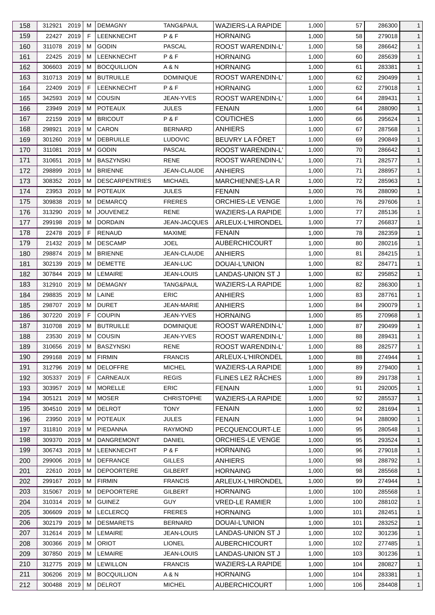| 158 | 312921 2019   |      | м  | <b>DEMAGNY</b>        | TANG&PAUL         | <b>WAZIERS-LA RAPIDE</b> | 1,000 | 57  | 286300 | $\mathbf{1}$ |
|-----|---------------|------|----|-----------------------|-------------------|--------------------------|-------|-----|--------|--------------|
| 159 | 22427 2019    |      | F  | LEENKNECHT            | P&F               | <b>HORNAING</b>          | 1,000 | 58  | 279018 | $\mathbf{1}$ |
| 160 | 311078 2019   |      | м  | <b>GODIN</b>          | <b>PASCAL</b>     | ROOST WARENDIN-L'        | 1,000 | 58  | 286642 | $\mathbf{1}$ |
| 161 | 22425 2019    |      | м  | LEENKNECHT            | P&F               | <b>HORNAING</b>          | 1,000 | 60  | 285639 | $\mathbf{1}$ |
| 162 | 306603        | 2019 | м  | <b>BOCQUILLION</b>    | A & N             | <b>HORNAING</b>          | 1,000 | 61  | 283381 | $\mathbf{1}$ |
| 163 | 310713        | 2019 | м  | <b>BUTRUILLE</b>      | <b>DOMINIQUE</b>  | <b>ROOST WARENDIN-L'</b> | 1,000 | 62  | 290499 | $\mathbf{1}$ |
| 164 | 22409         | 2019 | F  | LEENKNECHT            | P&F               | <b>HORNAING</b>          | 1,000 | 62  | 279018 | $\mathbf{1}$ |
| 165 | 342593        | 2019 | м  | COUSIN                | <b>JEAN-YVES</b>  | ROOST WARENDIN-L'        | 1,000 | 64  | 289431 | $\mathbf{1}$ |
| 166 | 23949         | 2019 | м  | <b>POTEAUX</b>        | <b>JULES</b>      | <b>FENAIN</b>            | 1,000 | 64  | 288090 | $\mathbf{1}$ |
| 167 | 22159         | 2019 | м  | <b>BRICOUT</b>        | P&F               | <b>COUTICHES</b>         | 1,000 | 66  | 295624 | $\mathbf{1}$ |
| 168 | 298921        | 2019 | м  | CARON                 | <b>BERNARD</b>    | <b>ANHIERS</b>           | 1,000 | 67  | 287568 | $\mathbf{1}$ |
| 169 | 301260        | 2019 | м  | <b>DEBRUILLE</b>      | <b>LUDOVIC</b>    | BEUVRY LA FÔRET          | 1,000 | 69  | 290849 | $\mathbf{1}$ |
| 170 | 311081        | 2019 | м  | <b>GODIN</b>          | <b>PASCAL</b>     | <b>ROOST WARENDIN-L'</b> | 1,000 | 70  | 286642 | $\mathbf{1}$ |
| 171 | 310651        | 2019 | м  | <b>BASZYNSKI</b>      | <b>RENE</b>       | ROOST WARENDIN-L'        | 1,000 | 71  | 282577 | $\mathbf{1}$ |
| 172 | 298899        | 2019 | м  | <b>BRIENNE</b>        | JEAN-CLAUDE       | <b>ANHIERS</b>           | 1,000 | 71  | 288957 | $\mathbf{1}$ |
| 173 | 308352 2019   |      | M  | <b>DESCARPENTRIES</b> | <b>MICHAEL</b>    | MARCHIENNES-LA R         | 1,000 | 72  | 285963 | $\mathbf{1}$ |
| 174 | 23953         | 2019 | м  | <b>POTEAUX</b>        | <b>JULES</b>      | <b>FENAIN</b>            | 1,000 | 76  | 288090 | $\mathbf{1}$ |
| 175 | 309838        | 2019 | м  | <b>DEMARCQ</b>        | <b>FRERES</b>     | ORCHIES-LE VENGE         | 1,000 | 76  | 297606 | $\mathbf{1}$ |
| 176 | 313290        | 2019 | м  | <b>JOUVENEZ</b>       | <b>RENE</b>       | <b>WAZIERS-LA RAPIDE</b> | 1,000 | 77  | 285136 | $\mathbf{1}$ |
| 177 | 299198        | 2019 | M  | <b>DORDAIN</b>        | JEAN-JACQUES      | ARLEUX-L'HIRONDEL        | 1,000 | 77  | 266837 | $\mathbf{1}$ |
| 178 | 22478 2019    |      | F  | RENAUD                | <b>MAXIME</b>     | <b>FENAIN</b>            | 1,000 | 78  | 282359 | $\mathbf{1}$ |
|     | 21432 2019    |      |    | <b>DESCAMP</b>        | <b>JOEL</b>       |                          |       | 80  | 280216 |              |
| 179 |               |      | м  |                       |                   | <b>AUBERCHICOURT</b>     | 1,000 |     |        | $\mathbf{1}$ |
| 180 | 298874 2019   |      | м  | <b>BRIENNE</b>        | JEAN-CLAUDE       | ANHIERS                  | 1,000 | 81  | 284215 | $\mathbf{1}$ |
| 181 | 302139 2019   |      | м  | <b>DEMETTE</b>        | JEAN-LUC          | DOUAI-L'UNION            | 1,000 | 82  | 284771 | $\mathbf{1}$ |
| 182 | 307844        | 2019 | м  | LEMAIRE               | <b>JEAN-LOUIS</b> | LANDAS-UNION ST J        | 1,000 | 82  | 295852 | $\mathbf{1}$ |
| 183 | 312910 2019   |      | м  | <b>DEMAGNY</b>        | TANG&PAUL         | <b>WAZIERS-LA RAPIDE</b> | 1,000 | 82  | 286300 | $\mathbf{1}$ |
| 184 | 298835        | 2019 | м  | LAINE                 | <b>ERIC</b>       | <b>ANHIERS</b>           | 1,000 | 83  | 287761 | $\mathbf{1}$ |
| 185 | 298707        | 2019 | м  | <b>DURET</b>          | <b>JEAN-MARIE</b> | <b>ANHIERS</b>           | 1,000 | 84  | 290079 | $\mathbf{1}$ |
| 186 | 307220        | 2019 | F. | <b>COUPIN</b>         | <b>JEAN-YVES</b>  | <b>HORNAING</b>          | 1,000 | 85  | 270968 | $\mathbf{1}$ |
| 187 | 310708        | 2019 | м  | <b>BUTRUILLE</b>      | <b>DOMINIQUE</b>  | ROOST WARENDIN-L'        | 1,000 | 87  | 290499 | $\mathbf{1}$ |
| 188 | 23530 2019    |      | M  | <b>COUSIN</b>         | JEAN-YVES         | <b>ROOST WARENDIN-L'</b> | 1,000 | 88  | 289431 | $\mathbf{1}$ |
| 189 | 310656 2019 M |      |    | BASZYNSKI             | RENE              | ROOST WARENDIN-L'        | 1,000 | 88  | 282577 | $\mathbf{1}$ |
| 190 | 299168 2019   |      | М  | <b>FIRMIN</b>         | <b>FRANCIS</b>    | ARLEUX-L'HIRONDEL        | 1,000 | 88  | 274944 | $\mathbf{1}$ |
| 191 | 312796 2019   |      | м  | <b>DELOFFRE</b>       | <b>MICHEL</b>     | <b>WAZIERS-LA RAPIDE</b> | 1,000 | 89  | 279400 | $\mathbf{1}$ |
| 192 | 305337 2019   |      | F  | CARNEAUX              | <b>REGIS</b>      | FLINES LEZ RÂCHES        | 1,000 | 89  | 291738 | $\mathbf{1}$ |
| 193 | 303957        | 2019 | м  | <b>MORELLE</b>        | ERIC              | <b>FENAIN</b>            | 1,000 | 91  | 292005 | $\mathbf{1}$ |
| 194 | 305121        | 2019 | м  | <b>MOSER</b>          | <b>CHRISTOPHE</b> | <b>WAZIERS-LA RAPIDE</b> | 1,000 | 92  | 285537 | $\mathbf{1}$ |
| 195 | 304510 2019   |      | м  | <b>DELROT</b>         | <b>TONY</b>       | <b>FENAIN</b>            | 1,000 | 92  | 281694 | $\mathbf{1}$ |
| 196 | 23950         | 2019 | м  | <b>POTEAUX</b>        | <b>JULES</b>      | <b>FENAIN</b>            | 1,000 | 94  | 288090 | $\mathbf{1}$ |
| 197 | 311810 2019   |      | м  | PIEDANNA              | <b>RAYMOND</b>    | PECQUENCOURT-LE          | 1,000 | 95  | 280548 | $\mathbf{1}$ |
| 198 | 309370 2019   |      | м  | <b>DANGREMONT</b>     | <b>DANIEL</b>     | ORCHIES-LE VENGE         | 1,000 | 95  | 293524 | $\mathbf{1}$ |
| 199 | 306743 2019   |      | м  | <b>LEENKNECHT</b>     | P&F               | <b>HORNAING</b>          | 1,000 | 96  | 279018 | $\mathbf{1}$ |
| 200 | 299006 2019   |      | м  | <b>DEFRANCE</b>       | <b>GILLES</b>     | <b>ANHIERS</b>           | 1,000 | 98  | 288792 | $\mathbf{1}$ |
| 201 | 22610 2019    |      | м  | <b>DEPOORTERE</b>     | GILBERT           | <b>HORNAING</b>          | 1,000 | 98  | 285568 | $\mathbf{1}$ |
| 202 | 299167 2019   |      | м  | <b>FIRMIN</b>         | <b>FRANCIS</b>    | ARLEUX-L'HIRONDEL        | 1,000 | 99  | 274944 | $\mathbf{1}$ |
| 203 | 315067        | 2019 | м  | <b>DEPOORTERE</b>     | GILBERT           | <b>HORNAING</b>          | 1,000 | 100 | 285568 | $\mathbf{1}$ |
| 204 | 310314        | 2019 | м  | <b>GUINEZ</b>         | <b>GUY</b>        | <b>VRED-LE RAMIER</b>    | 1,000 | 100 | 288102 | $\mathbf{1}$ |
| 205 | 306609        | 2019 | м  | <b>LECLERCQ</b>       | <b>FRERES</b>     | <b>HORNAING</b>          | 1,000 | 101 | 282451 | $\mathbf{1}$ |
| 206 | 302179 2019   |      | м  | <b>DESMARETS</b>      | <b>BERNARD</b>    | DOUAI-L'UNION            | 1,000 | 101 | 283252 | $\mathbf{1}$ |
| 207 | 312614        | 2019 | м  | LEMAIRE               | JEAN-LOUIS        | LANDAS-UNION ST J        | 1,000 | 102 | 301236 | $\mathbf{1}$ |
| 208 | 300366 2019   |      | м  | <b>ORIOT</b>          | <b>LIONEL</b>     | <b>AUBERCHICOURT</b>     | 1,000 | 102 | 277485 | $\mathbf{1}$ |
| 209 | 307850 2019   |      | м  | LEMAIRE               | JEAN-LOUIS        | LANDAS-UNION ST J        | 1,000 | 103 | 301236 | $\mathbf{1}$ |
| 210 | 312775 2019   |      | м  | <b>LEWILLON</b>       | <b>FRANCIS</b>    | <b>WAZIERS-LA RAPIDE</b> | 1,000 | 104 | 280827 | $\mathbf{1}$ |
| 211 | 306206 2019   |      | м  | <b>BOCQUILLION</b>    | A & N             | <b>HORNAING</b>          | 1,000 | 104 | 283381 | $\mathbf{1}$ |
| 212 | 300488 2019   |      | м  | DELROT                | <b>MICHEL</b>     | AUBERCHICOURT            | 1,000 | 106 | 284408 | $\mathbf{1}$ |
|     |               |      |    |                       |                   |                          |       |     |        |              |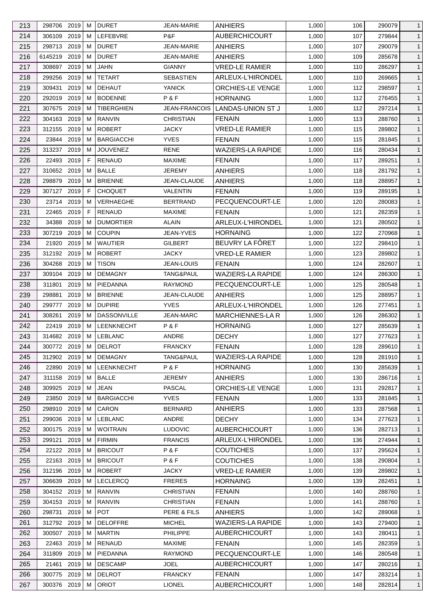| 213 | 298706 2019   |      | м | <b>DURET</b>       | <b>JEAN-MARIE</b>    | <b>ANHIERS</b>           | 1,000 | 106 | 290079 | $\mathbf{1}$ |
|-----|---------------|------|---|--------------------|----------------------|--------------------------|-------|-----|--------|--------------|
| 214 | 306109        | 2019 | м | LEFEBVRE           | P&F                  | <b>AUBERCHICOURT</b>     | 1,000 | 107 | 279844 | $\mathbf{1}$ |
| 215 | 298713 2019   |      | м | <b>DURET</b>       | <b>JEAN-MARIE</b>    | <b>ANHIERS</b>           | 1,000 | 107 | 290079 | $\mathbf{1}$ |
| 216 | 6145219       | 2019 | м | <b>DURET</b>       | <b>JEAN-MARIE</b>    | <b>ANHIERS</b>           | 1,000 | 109 | 285678 | $\mathbf{1}$ |
| 217 | 308697 2019   |      | м | JAHN               | <b>GIANNY</b>        | <b>VRED-LE RAMIER</b>    | 1,000 | 110 | 286297 | $\mathbf{1}$ |
| 218 | 299256        | 2019 | M | <b>TETART</b>      | <b>SEBASTIEN</b>     | ARLEUX-L'HIRONDEL        | 1,000 | 110 | 269665 | $\mathbf{1}$ |
| 219 | 309431        | 2019 | м | <b>DEHAUT</b>      | <b>YANICK</b>        | <b>ORCHIES-LE VENGE</b>  | 1,000 | 112 | 298597 | $\mathbf{1}$ |
| 220 | 292019        | 2019 | м | <b>BODENNE</b>     | P&F                  | <b>HORNAING</b>          | 1,000 | 112 | 276455 | $\mathbf{1}$ |
| 221 | 307675        | 2019 | м | <b>TIBERGHIEN</b>  | <b>JEAN-FRANCOIS</b> | LANDAS-UNION ST J        | 1,000 | 112 | 297214 | $\mathbf{1}$ |
| 222 | 304163        | 2019 | м | <b>RANVIN</b>      | <b>CHRISTIAN</b>     | <b>FENAIN</b>            | 1,000 | 113 | 288760 | $\mathbf{1}$ |
| 223 | 312155        | 2019 | м | <b>ROBERT</b>      | <b>JACKY</b>         | <b>VRED-LE RAMIER</b>    | 1,000 | 115 | 289802 | $\mathbf{1}$ |
| 224 | 23844 2019    |      | м | <b>BARGIACCHI</b>  | <b>YVES</b>          | <b>FENAIN</b>            | 1,000 | 115 | 281845 | $\mathbf{1}$ |
| 225 | 313237        | 2019 | м | <b>JOUVENEZ</b>    | RENE                 | <b>WAZIERS-LA RAPIDE</b> | 1,000 | 116 | 280434 | $\mathbf{1}$ |
| 226 | 22493         | 2019 | F | <b>RENAUD</b>      | <b>MAXIME</b>        | <b>FENAIN</b>            | 1,000 | 117 | 289251 | $\mathbf{1}$ |
| 227 | 310652 2019   |      | м | <b>BALLE</b>       | <b>JEREMY</b>        | <b>ANHIERS</b>           | 1,000 | 118 | 281792 | $\mathbf{1}$ |
| 228 | 298879        | 2019 | м | <b>BRIENNE</b>     | JEAN-CLAUDE          | <b>ANHIERS</b>           | 1,000 | 118 | 288957 | $\mathbf{1}$ |
| 229 | 307127        | 2019 | F | <b>CHOQUET</b>     | VALENTIN             | <b>FENAIN</b>            | 1,000 | 119 | 289195 | $\mathbf{1}$ |
| 230 | 23714 2019    |      | м | <b>VERHAEGHE</b>   | <b>BERTRAND</b>      | PECQUENCOURT-LE          | 1,000 | 120 | 280083 | $\mathbf{1}$ |
| 231 | 22465         | 2019 | F | <b>RENAUD</b>      | <b>MAXIME</b>        | <b>FENAIN</b>            | 1,000 | 121 | 282359 | $\mathbf{1}$ |
|     |               |      |   |                    | <b>ALAIN</b>         | ARLEUX-L'HIRONDEL        |       |     |        | $\mathbf{1}$ |
| 232 | 34388         | 2019 | м | <b>DUMORTIER</b>   |                      |                          | 1,000 | 121 | 280502 |              |
| 233 | 307219        | 2019 | м | <b>COUPIN</b>      | JEAN-YVES            | <b>HORNAING</b>          | 1,000 | 122 | 270968 | $\mathbf{1}$ |
| 234 | 21920         | 2019 | м | <b>WAUTIER</b>     | <b>GILBERT</b>       | BEUVRY LA FÔRET          | 1,000 | 122 | 298410 | $\mathbf{1}$ |
| 235 | 312192 2019   |      | м | <b>ROBERT</b>      | <b>JACKY</b>         | <b>VRED-LE RAMIER</b>    | 1,000 | 123 | 289802 | $\mathbf{1}$ |
| 236 | 304268        | 2019 | м | <b>TISON</b>       | <b>JEAN-LOUIS</b>    | <b>FENAIN</b>            | 1,000 | 124 | 282607 | $\mathbf{1}$ |
| 237 | 309104        | 2019 | м | <b>DEMAGNY</b>     | TANG&PAUL            | <b>WAZIERS-LA RAPIDE</b> | 1,000 | 124 | 286300 | $\mathbf{1}$ |
| 238 | 311801        | 2019 | м | PIEDANNA           | <b>RAYMOND</b>       | PECQUENCOURT-LE          | 1,000 | 125 | 280548 | $\mathbf{1}$ |
| 239 | 298881        | 2019 | M | <b>BRIENNE</b>     | JEAN-CLAUDE          | <b>ANHIERS</b>           | 1,000 | 125 | 288957 | $\mathbf{1}$ |
| 240 | 299777        | 2019 | м | <b>DUPIRE</b>      | <b>YVES</b>          | ARLEUX-L'HIRONDEL        | 1,000 | 126 | 277451 | $\mathbf{1}$ |
| 241 | 308261        | 2019 | м | <b>DASSONVILLE</b> | <b>JEAN-MARC</b>     | <b>MARCHIENNES-LA R</b>  | 1,000 | 126 | 286302 | $\mathbf{1}$ |
| 242 | 22419         | 2019 | м | LEENKNECHT         | P&F                  | <b>HORNAING</b>          | 1,000 | 127 | 285639 | $\mathbf{1}$ |
| 243 | 314682 2019   |      | M | <b>LEBLANC</b>     | ANDRE                | <b>DECHY</b>             | 1,000 | 127 | 277623 | $\mathbf{1}$ |
| 244 | 300772 2019 M |      |   | <b>DELROT</b>      | <b>FRANCKY</b>       | <b>FENAIN</b>            | 1,000 | 128 | 289610 | $\mathbf{1}$ |
| 245 | 312902 2019   |      | М | <b>DEMAGNY</b>     | TANG&PAUL            | <b>WAZIERS-LA RAPIDE</b> | 1,000 | 128 | 281910 | $\mathbf{1}$ |
| 246 | 22890 2019    |      | м | <b>LEENKNECHT</b>  | P&F                  | <b>HORNAING</b>          | 1,000 | 130 | 285639 | $\mathbf{1}$ |
| 247 | 311158 2019   |      | м | <b>BALLE</b>       | JEREMY               | <b>ANHIERS</b>           | 1,000 | 130 | 286716 | $\mathbf{1}$ |
| 248 | 309925        | 2019 | M | JEAN               | PASCAL               | ORCHIES-LE VENGE         | 1,000 | 131 | 292817 | $\mathbf{1}$ |
| 249 | 23850 2019    |      | м | <b>BARGIACCHI</b>  | <b>YVES</b>          | <b>FENAIN</b>            | 1,000 | 133 | 281845 | $\mathbf{1}$ |
| 250 | 298910 2019   |      | м | CARON              | <b>BERNARD</b>       | <b>ANHIERS</b>           | 1,000 | 133 | 287568 | $\mathbf{1}$ |
| 251 | 299036 2019   |      | м | <b>LEBLANC</b>     | ANDRE                | <b>DECHY</b>             | 1,000 | 134 | 277623 | $\mathbf{1}$ |
| 252 | 300175 2019   |      | м | <b>WOITRAIN</b>    | <b>LUDOVIC</b>       | <b>AUBERCHICOURT</b>     | 1,000 | 136 | 282713 | $\mathbf{1}$ |
| 253 | 299121 2019   |      | м | <b>FIRMIN</b>      | <b>FRANCIS</b>       | ARLEUX-L'HIRONDEL        | 1,000 | 136 | 274944 | $\mathbf{1}$ |
| 254 | 22122 2019    |      | м | <b>BRICOUT</b>     | P&F                  | <b>COUTICHES</b>         | 1,000 | 137 | 295624 | $\mathbf{1}$ |
| 255 | 22163 2019    |      | м | <b>BRICOUT</b>     | P&F                  | <b>COUTICHES</b>         | 1,000 | 138 | 290804 | $\mathbf{1}$ |
| 256 | 312196        | 2019 | м | <b>ROBERT</b>      | <b>JACKY</b>         | <b>VRED-LE RAMIER</b>    | 1,000 | 139 | 289802 | $\mathbf{1}$ |
| 257 | 306639        | 2019 | м | <b>LECLERCQ</b>    | <b>FRERES</b>        | <b>HORNAING</b>          | 1,000 | 139 | 282451 | $\mathbf{1}$ |
| 258 | 304152 2019   |      | м | <b>RANVIN</b>      | <b>CHRISTIAN</b>     | <b>FENAIN</b>            | 1,000 | 140 | 288760 | $\mathbf{1}$ |
| 259 | 304153 2019   |      | M | RANVIN             | <b>CHRISTIAN</b>     | <b>FENAIN</b>            | 1,000 | 141 | 288760 | $\mathbf{1}$ |
| 260 | 298731        | 2019 | м | <b>POT</b>         | PERE & FILS          | <b>ANHIERS</b>           | 1,000 | 142 | 289068 | $\mathbf{1}$ |
| 261 | 312792 2019   |      | м | <b>DELOFFRE</b>    | <b>MICHEL</b>        | <b>WAZIERS-LA RAPIDE</b> | 1,000 | 143 | 279400 | $\mathbf{1}$ |
| 262 | 300507        | 2019 | м | <b>MARTIN</b>      | <b>PHILIPPE</b>      | <b>AUBERCHICOURT</b>     | 1,000 | 143 | 280411 | $\mathbf{1}$ |
| 263 | 22463 2019    |      | м | RENAUD             | MAXIME               | <b>FENAIN</b>            | 1,000 | 145 | 282359 | $\mathbf{1}$ |
| 264 | 311809        | 2019 | M | PIEDANNA           | <b>RAYMOND</b>       | PECQUENCOURT-LE          | 1,000 | 146 | 280548 | $\mathbf{1}$ |
| 265 | 21461         | 2019 | м | <b>DESCAMP</b>     | JOEL                 | <b>AUBERCHICOURT</b>     | 1,000 | 147 | 280216 | $\mathbf{1}$ |
| 266 | 300775 2019   |      | м | <b>DELROT</b>      | <b>FRANCKY</b>       | <b>FENAIN</b>            | 1,000 | 147 | 283214 | $\mathbf{1}$ |
| 267 | 300376 2019   |      | м | <b>ORIOT</b>       | <b>LIONEL</b>        | <b>AUBERCHICOURT</b>     | 1,000 | 148 | 282814 | $\mathbf{1}$ |
|     |               |      |   |                    |                      |                          |       |     |        |              |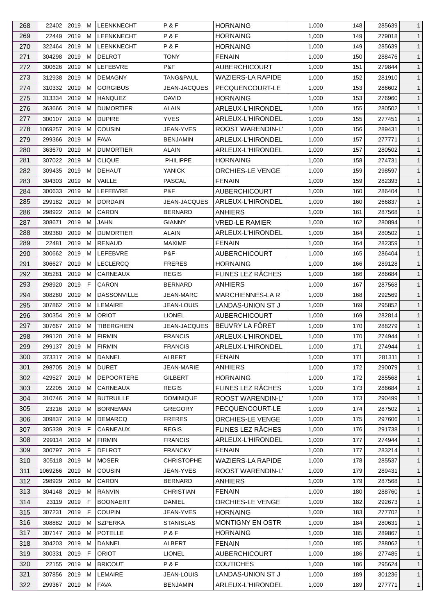| 268 | 22402 2019    |      | м  | <b>LEENKNECHT</b>  | P&F                 | <b>HORNAING</b>          | 1,000 | 148 | 285639 | $\mathbf{1}$ |
|-----|---------------|------|----|--------------------|---------------------|--------------------------|-------|-----|--------|--------------|
| 269 | 22449 2019    |      | м  | LEENKNECHT         | P&F                 | <b>HORNAING</b>          | 1,000 | 149 | 279018 | $\mathbf{1}$ |
| 270 | 322464        | 2019 | м  | <b>LEENKNECHT</b>  | P&F                 | <b>HORNAING</b>          | 1,000 | 149 | 285639 | $\mathbf{1}$ |
| 271 | 304298 2019   |      | м  | <b>DELROT</b>      | <b>TONY</b>         | <b>FENAIN</b>            | 1,000 | 150 | 288476 | $\mathbf{1}$ |
| 272 | 300626        | 2019 | м  | LEFEBVRE           | P&F                 | <b>AUBERCHICOURT</b>     | 1,000 | 151 | 279844 | $\mathbf{1}$ |
| 273 | 312938        | 2019 | м  | <b>DEMAGNY</b>     | TANG&PAUL           | <b>WAZIERS-LA RAPIDE</b> | 1,000 | 152 | 281910 | $\mathbf{1}$ |
| 274 | 310332 2019   |      | м  | <b>GORGIBUS</b>    | <b>JEAN-JACQUES</b> | PECQUENCOURT-LE          | 1,000 | 153 | 286602 | $\mathbf{1}$ |
| 275 | 313334 2019   |      | м  | <b>HANQUEZ</b>     | DAVID               | <b>HORNAING</b>          | 1,000 | 153 | 276960 | $\mathbf{1}$ |
| 276 | 363666        | 2019 | M  | <b>DUMORTIER</b>   | ALAIN               | ARLEUX-L'HIRONDEL        | 1,000 | 155 | 280502 | $\mathbf{1}$ |
| 277 | 300107 2019   |      | м  | <b>DUPIRE</b>      | <b>YVES</b>         | ARLEUX-L'HIRONDEL        | 1,000 | 155 | 277451 | $\mathbf{1}$ |
| 278 | 1069257 2019  |      | м  | COUSIN             | JEAN-YVES           | ROOST WARENDIN-L'        | 1,000 | 156 | 289431 | $\mathbf{1}$ |
| 279 | 299366 2019   |      | м  | <b>FAVA</b>        | <b>BENJAMIN</b>     | ARLEUX-L'HIRONDEL        | 1,000 | 157 | 277771 | $\mathbf{1}$ |
| 280 | 363670 2019   |      | м  | <b>DUMORTIER</b>   | ALAIN               | ARLEUX-L'HIRONDEL        | 1,000 | 157 | 280502 | $\mathbf{1}$ |
| 281 | 307022 2019   |      | м  | <b>CLIQUE</b>      | PHILIPPE            | <b>HORNAING</b>          | 1,000 | 158 | 274731 | $\mathbf{1}$ |
| 282 | 309435 2019   |      | м  | <b>DEHAUT</b>      | <b>YANICK</b>       | ORCHIES-LE VENGE         | 1,000 | 159 | 298597 | $\mathbf{1}$ |
| 283 | 304303 2019   |      | м  | VAILLE             | <b>PASCAL</b>       | <b>FENAIN</b>            | 1,000 | 159 | 282393 | $\mathbf{1}$ |
|     |               |      |    |                    | P&F                 |                          |       |     |        |              |
| 284 | 300633        | 2019 | м  | LEFEBVRE           |                     | <b>AUBERCHICOURT</b>     | 1,000 | 160 | 286404 | $\mathbf{1}$ |
| 285 | 299182 2019   |      | м  | <b>DORDAIN</b>     | JEAN-JACQUES        | ARLEUX-L'HIRONDEL        | 1,000 | 160 | 266837 | $\mathbf{1}$ |
| 286 | 298922 2019   |      | м  | CARON              | <b>BERNARD</b>      | <b>ANHIERS</b>           | 1,000 | 161 | 287568 | $\mathbf{1}$ |
| 287 | 308671        | 2019 | M  | <b>JAHN</b>        | <b>GIANNY</b>       | <b>VRED-LE RAMIER</b>    | 1,000 | 162 | 280894 | $\mathbf{1}$ |
| 288 | 309360        | 2019 | м  | <b>DUMORTIER</b>   | ALAIN               | ARLEUX-L'HIRONDEL        | 1,000 | 164 | 280502 | $\mathbf{1}$ |
| 289 | 22481         | 2019 | М  | <b>RENAUD</b>      | <b>MAXIME</b>       | <b>FENAIN</b>            | 1,000 | 164 | 282359 | $\mathbf{1}$ |
| 290 | 300662 2019   |      | м  | LEFEBVRE           | P&F                 | <b>AUBERCHICOURT</b>     | 1,000 | 165 | 286404 | $\mathbf{1}$ |
| 291 | 306627        | 2019 | м  | <b>LECLERCQ</b>    | <b>FRERES</b>       | <b>HORNAING</b>          | 1,000 | 166 | 289128 | $\mathbf{1}$ |
| 292 | 305281        | 2019 | м  | CARNEAUX           | <b>REGIS</b>        | FLINES LEZ RÂCHES        | 1,000 | 166 | 286684 | $\mathbf{1}$ |
| 293 | 298920        | 2019 | F  | <b>CARON</b>       | <b>BERNARD</b>      | <b>ANHIERS</b>           | 1,000 | 167 | 287568 | $\mathbf{1}$ |
| 294 | 308280        | 2019 | м  | <b>DASSONVILLE</b> | <b>JEAN-MARC</b>    | <b>MARCHIENNES-LA R</b>  | 1,000 | 168 | 292569 | $\mathbf{1}$ |
| 295 | 307862 2019   |      | м  | LEMAIRE            | <b>JEAN-LOUIS</b>   | LANDAS-UNION ST J        | 1,000 | 169 | 295852 | $\mathbf{1}$ |
| 296 | 300354 2019   |      | м  | <b>ORIOT</b>       | <b>LIONEL</b>       | <b>AUBERCHICOURT</b>     | 1,000 | 169 | 282814 | $\mathbf{1}$ |
| 297 | 307667 2019   |      | м  | <b>TIBERGHIEN</b>  | JEAN-JACQUES        | BEUVRY LA FÔRET          | 1,000 | 170 | 288279 | $\mathbf{1}$ |
| 298 | 299120 2019   |      | M  | <b>FIRMIN</b>      | <b>FRANCIS</b>      | ARLEUX-L'HIRONDEL        | 1,000 | 170 | 274944 | $\mathbf{1}$ |
| 299 | 299137 2019 M |      |    | <b>FIRMIN</b>      | <b>FRANCIS</b>      | ARLEUX-L'HIRONDEL        | 1,000 | 171 | 274944 | $\mathbf{1}$ |
| 300 | 373317 2019   |      | М  | DANNEL             | <b>ALBERT</b>       | <b>FENAIN</b>            | 1,000 | 171 | 281311 | $\mathbf{1}$ |
| 301 | 298705 2019   |      | м  | <b>DURET</b>       | <b>JEAN-MARIE</b>   | <b>ANHIERS</b>           | 1,000 | 172 | 290079 | $\mathbf{1}$ |
| 302 | 429527        | 2019 | м  | <b>DEPOORTERE</b>  | <b>GILBERT</b>      | <b>HORNAING</b>          | 1,000 | 172 | 285568 | $\mathbf{1}$ |
| 303 | 22205         | 2019 | м  | <b>CARNEAUX</b>    | <b>REGIS</b>        | FLINES LEZ RÂCHES        | 1,000 | 173 | 286684 | $\mathbf{1}$ |
| 304 | 310746 2019   |      | м  | <b>BUTRUILLE</b>   | <b>DOMINIQUE</b>    | <b>ROOST WARENDIN-L'</b> | 1,000 | 173 | 290499 | $\mathbf{1}$ |
| 305 | 23216 2019    |      | м  | <b>BORNEMAN</b>    | <b>GREGORY</b>      | PECQUENCOURT-LE          | 1,000 | 174 | 287502 | $\mathbf{1}$ |
| 306 | 309837        | 2019 | м  | <b>DEMARCQ</b>     | <b>FRERES</b>       | ORCHIES-LE VENGE         | 1,000 | 175 | 297606 | $\mathbf{1}$ |
| 307 | 305339        | 2019 | F  | CARNEAUX           | <b>REGIS</b>        | FLINES LEZ RÂCHES        | 1,000 | 176 | 291738 | $\mathbf{1}$ |
| 308 | 299114 2019   |      | M  | <b>FIRMIN</b>      | <b>FRANCIS</b>      | ARLEUX-L'HIRONDEL        | 1,000 | 177 | 274944 | $\mathbf{1}$ |
| 309 | 300797        | 2019 | F  | <b>DELROT</b>      | <b>FRANCKY</b>      | <b>FENAIN</b>            | 1,000 | 177 | 283214 | $\mathbf{1}$ |
| 310 | 305118 2019   |      | м  | <b>MOSER</b>       | <b>CHRISTOPHE</b>   | <b>WAZIERS-LA RAPIDE</b> | 1,000 | 178 | 285537 | $\mathbf{1}$ |
| 311 | 1069266       | 2019 | м  | <b>COUSIN</b>      | JEAN-YVES           | ROOST WARENDIN-L'        | 1,000 | 179 | 289431 | $\mathbf{1}$ |
| 312 | 298929        | 2019 | м  | CARON              | <b>BERNARD</b>      | <b>ANHIERS</b>           | 1,000 | 179 | 287568 | $\mathbf{1}$ |
| 313 | 304148        | 2019 | м  | RANVIN             | <b>CHRISTIAN</b>    | <b>FENAIN</b>            | 1,000 | 180 | 288760 | $\mathbf{1}$ |
| 314 | 23119         | 2019 | F  | <b>BOONAERT</b>    | DANIEL              | ORCHIES-LE VENGE         | 1,000 | 182 | 292673 | $\mathbf{1}$ |
| 315 | 307231        | 2019 | F  | <b>COUPIN</b>      | JEAN-YVES           | <b>HORNAING</b>          | 1,000 | 183 | 277702 | $\mathbf{1}$ |
| 316 | 308882 2019   |      | м  | <b>SZPERKA</b>     | <b>STANISLAS</b>    | <b>MONTIGNY EN OSTR</b>  | 1,000 | 184 | 280631 | $\mathbf{1}$ |
|     |               | 2019 |    | <b>POTELLE</b>     | P&F                 | <b>HORNAING</b>          |       |     |        |              |
| 317 | 307147        |      | м  |                    |                     |                          | 1,000 | 185 | 289867 | $\mathbf{1}$ |
| 318 | 304203 2019   |      | м  | DANNEL             | ALBERT              | <b>FENAIN</b>            | 1,000 | 185 | 288062 | $\mathbf{1}$ |
| 319 | 300331        | 2019 | F. | <b>ORIOT</b>       | <b>LIONEL</b>       | AUBERCHICOURT            | 1,000 | 186 | 277485 | $\mathbf{1}$ |
| 320 | 22155 2019    |      | м  | <b>BRICOUT</b>     | P&F                 | <b>COUTICHES</b>         | 1,000 | 186 | 295624 | $\mathbf{1}$ |
| 321 | 307856 2019   |      | м  | LEMAIRE            | JEAN-LOUIS          | LANDAS-UNION ST J        | 1,000 | 189 | 301236 | $\mathbf{1}$ |
| 322 | 299367 2019   |      | м  | <b>FAVA</b>        | <b>BENJAMIN</b>     | ARLEUX-L'HIRONDEL        | 1,000 | 189 | 277771 | $\mathbf{1}$ |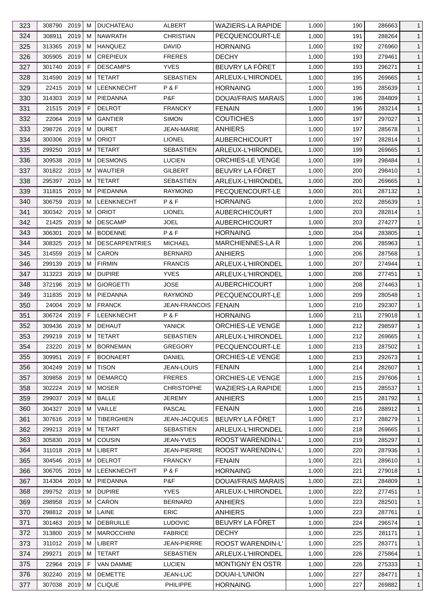| 323 | 308790 2019          |      | м       | <b>DUCHATEAU</b>            | ALBERT                      | <b>WAZIERS-LA RAPIDE</b> | 1,000 | 190 | 286663 | $\mathbf{1}$   |
|-----|----------------------|------|---------|-----------------------------|-----------------------------|--------------------------|-------|-----|--------|----------------|
| 324 | 308911               | 2019 | м       | <b>NAWRATH</b>              | <b>CHRISTIAN</b>            | PECQUENCOURT-LE          | 1,000 | 191 | 288264 | $\mathbf{1}$   |
| 325 | 313365               | 2019 | м       | <b>HANQUEZ</b>              | <b>DAVID</b>                | <b>HORNAING</b>          | 1,000 | 192 | 276960 | $\mathbf{1}$   |
| 326 | 305905               | 2019 | м       | <b>CREPIEUX</b>             | <b>FRERES</b>               | <b>DECHY</b>             | 1,000 | 193 | 279461 | $\mathbf{1}$   |
| 327 | 301740               | 2019 | F       | <b>DESCAMPS</b>             | <b>YVES</b>                 | BEUVRY LA FÔRET          | 1,000 | 193 | 296271 | $\mathbf{1}$   |
| 328 | 314590               | 2019 | м       | <b>TETART</b>               | <b>SEBASTIEN</b>            | ARLEUX-L'HIRONDEL        | 1,000 | 195 | 269665 | $\mathbf{1}$   |
| 329 | 22415 2019           |      | м       | LEENKNECHT                  | P&F                         | <b>HORNAING</b>          | 1,000 | 195 | 285639 | $\mathbf{1}$   |
| 330 | 314303 2019          |      | м       | PIEDANNA                    | P&F                         | DOUAI/FRAIS MARAIS       | 1,000 | 196 | 284809 | $\mathbf{1}$   |
| 331 | 21515                | 2019 | F       | <b>DELROT</b>               | <b>FRANCKY</b>              | <b>FENAIN</b>            | 1,000 | 196 | 283214 | $\mathbf{1}$   |
| 332 | 22064                | 2019 | м       | <b>GANTIER</b>              | <b>SIMON</b>                | <b>COUTICHES</b>         | 1,000 | 197 | 297027 | $\mathbf{1}$   |
| 333 | 298726               | 2019 | м       | <b>DURET</b>                | JEAN-MARIE                  | <b>ANHIERS</b>           | 1,000 | 197 | 285678 | $\mathbf{1}$   |
| 334 | 300306               | 2019 | M       | <b>ORIOT</b>                | <b>LIONEL</b>               | <b>AUBERCHICOURT</b>     | 1,000 | 197 | 282814 | $\mathbf{1}$   |
| 335 | 299250               | 2019 | м       | <b>TETART</b>               | <b>SEBASTIEN</b>            | ARLEUX-L'HIRONDEL        | 1,000 | 199 | 269665 | $\mathbf{1}$   |
| 336 | 309538               | 2019 | м       | <b>DESMONS</b>              | <b>LUCIEN</b>               | ORCHIES-LE VENGE         | 1,000 | 199 | 298484 | $\mathbf{1}$   |
| 337 | 301822 2019          |      | м       | <b>WAUTIER</b>              | GILBERT                     | BEUVRY LA FÔRET          | 1,000 | 200 | 298410 | $\mathbf{1}$   |
| 338 | 295397 2019          |      | м       | <b>TETART</b>               | <b>SEBASTIEN</b>            | ARLEUX-L'HIRONDEL        | 1,000 | 200 | 269665 | $\mathbf{1}$   |
| 339 | 311815               | 2019 | м       | PIEDANNA                    | <b>RAYMOND</b>              | PECQUENCOURT-LE          | 1,000 | 201 | 287132 | $\mathbf{1}$   |
| 340 | 306759               | 2019 | м       | LEENKNECHT                  | P&F                         | <b>HORNAING</b>          | 1,000 | 202 | 285639 | $\mathbf{1}$   |
| 341 | 300342 2019          |      | м       | <b>ORIOT</b>                | <b>LIONEL</b>               | <b>AUBERCHICOURT</b>     | 1,000 | 203 | 282814 | $\mathbf{1}$   |
| 342 | 21425                | 2019 | м       | <b>DESCAMP</b>              | JOEL                        | <b>AUBERCHICOURT</b>     | 1,000 | 203 | 274277 | $\mathbf{1}$   |
| 343 | 306301               | 2019 | м       | <b>BODENNE</b>              | P & F                       | <b>HORNAING</b>          | 1,000 | 204 | 283805 | $\mathbf{1}$   |
| 344 | 308325               | 2019 | м       | <b>DESCARPENTRIES</b>       | <b>MICHAEL</b>              | MARCHIENNES-LA R         | 1,000 | 206 | 285963 | $\mathbf{1}$   |
| 345 | 314559               | 2019 | м       | CARON                       | <b>BERNARD</b>              | ANHIERS                  | 1,000 | 206 | 287568 | $\mathbf{1}$   |
| 346 | 299139               | 2019 | м       | <b>FIRMIN</b>               | <b>FRANCIS</b>              | ARLEUX-L'HIRONDEL        | 1,000 | 207 | 274944 | $\mathbf{1}$   |
| 347 | 313223               | 2019 | м       | <b>DUPIRE</b>               | <b>YVES</b>                 | ARLEUX-L'HIRONDEL        | 1,000 | 208 | 277451 | $\mathbf{1}$   |
|     |                      |      |         |                             |                             |                          |       |     |        |                |
| 348 | 372196               | 2019 | м       | <b>GIORGETTI</b>            | JOSE                        | <b>AUBERCHICOURT</b>     | 1,000 | 208 | 274463 | $\mathbf{1}$   |
| 349 | 311835               | 2019 | м       | PIEDANNA                    | RAYMOND                     | PECQUENCOURT-LE          | 1,000 | 209 | 280548 | $\mathbf{1}$   |
| 350 | 24004<br>306724 2019 | 2019 | М<br>F. | <b>FRANCK</b><br>LEENKNECHT | <b>JEAN-FRANCOIS</b><br>P&F | <b>FENAIN</b>            | 1,000 | 210 | 292307 | $\mathbf{1}$   |
| 351 | 309436 2019          |      | м       |                             |                             | <b>HORNAING</b>          | 1,000 | 211 | 279018 | $\mathbf{1}$   |
| 352 |                      |      |         | <b>DEHAUT</b>               | <b>YANICK</b>               | ORCHIES-LE VENGE         | 1,000 | 212 | 298597 | $\mathbf{1}$   |
| 353 | 299219               | 2019 | М       | <b>TETART</b>               | <b>SEBASTIEN</b>            | ARLEUX-L'HIRONDEL        | 1,000 | 212 | 269665 | $\mathbf{1}$   |
| 354 | 23220 2019           |      | M       | <b>BORNEMAN</b>             | <b>GREGORY</b>              | PECQUENCOURT-LE          | 1,000 | 213 | 287502 | $\mathbf{1}$   |
| 355 | 309951 2019          |      | F       | <b>BOONAERT</b>             | <b>DANIEL</b>               | ORCHIES-LE VENGE         | 1,000 | 213 | 292673 | $\mathbf{1}$   |
| 356 | 304249               | 2019 | M       | <b>TISON</b>                | JEAN-LOUIS                  | <b>FENAIN</b>            | 1,000 | 214 | 282607 | $\mathbf{1}$   |
| 357 | 309858 2019          |      | м       | <b>DEMARCQ</b>              | <b>FRERES</b>               | <b>ORCHIES-LE VENGE</b>  | 1,000 | 215 | 297606 | $\mathbf{1}$   |
| 358 | 302224 2019          |      | м       | <b>MOSER</b>                | <b>CHRISTOPHE</b>           | <b>WAZIERS-LA RAPIDE</b> | 1,000 | 215 | 285537 | $\mathbf{1}$   |
| 359 | 299037 2019          |      | м       | <b>BALLE</b>                | <b>JEREMY</b>               | <b>ANHIERS</b>           | 1,000 | 215 | 281792 | $\mathbf{1}$   |
| 360 | 304327 2019          |      | м       | VAILLE                      | <b>PASCAL</b>               | <b>FENAIN</b>            | 1,000 | 216 | 288912 | $\mathbf{1}$   |
| 361 | 307616 2019          |      | M       | <b>TIBERGHIEN</b>           | JEAN-JACQUES                | BEUVRY LA FÔRET          | 1,000 | 217 | 288279 | $\mathbf{1}$   |
| 362 | 299213 2019          |      | м       | <b>TETART</b>               | <b>SEBASTIEN</b>            | ARLEUX-L'HIRONDEL        | 1,000 | 218 | 269665 | $\mathbf{1}$   |
| 363 | 305830 2019          |      | м       | COUSIN                      | JEAN-YVES                   | <b>ROOST WARENDIN-L'</b> | 1,000 | 219 | 285297 | $\mathbf{1}$   |
| 364 | 311018 2019          |      | М       | LIBERT                      | <b>JEAN-PIERRE</b>          | ROOST WARENDIN-L'        | 1,000 | 220 | 287936 | $\mathbf{1}$   |
| 365 | 304546 2019          |      | м       | <b>DELROT</b>               | <b>FRANCKY</b>              | <b>FENAIN</b>            | 1,000 | 221 | 289610 | $\mathbf{1}$   |
| 366 | 306705 2019          |      | м       | LEENKNECHT                  | P&F                         | <b>HORNAING</b>          | 1,000 | 221 | 279018 | $\mathbf{1}$   |
| 367 | 314304 2019          |      | м       | PIEDANNA                    | P&F                         | DOUAI/FRAIS MARAIS       | 1,000 | 221 | 284809 | $\mathbf{1}$   |
| 368 | 299752 2019          |      | м       | <b>DUPIRE</b>               | <b>YVES</b>                 | ARLEUX-L'HIRONDEL        | 1,000 | 222 | 277451 | $\mathbf{1}$   |
| 369 | 298958               | 2019 | м       | CARON                       | <b>BERNARD</b>              | <b>ANHIERS</b>           | 1,000 | 223 | 282501 | $\mathbf{1}$   |
| 370 | 298812 2019          |      | м       | LAINE                       | <b>ERIC</b>                 | <b>ANHIERS</b>           | 1,000 | 223 | 287761 | $\mathbf{1}$   |
| 371 | 301463 2019          |      | м       | <b>DEBRUILLE</b>            | <b>LUDOVIC</b>              | BEUVRY LA FÔRET          | 1,000 | 224 | 296574 | $\mathbf{1}$   |
| 372 | 313800               | 2019 | M       | <b>MAROCCHINI</b>           | <b>FABRICE</b>              | <b>DECHY</b>             | 1,000 | 225 | 281171 | $\mathbf{1}$   |
| 373 | 311012 2019          |      | м       | LIBERT                      | <b>JEAN-PIERRE</b>          | ROOST WARENDIN-L'        | 1,000 | 225 | 283771 | $\mathbf{1}$   |
| 374 | 299271               | 2019 | м       | TETART                      | <b>SEBASTIEN</b>            | ARLEUX-L'HIRONDEL        | 1,000 | 226 | 275864 | $\mathbf{1}$   |
| 375 | 22964 2019           |      | F       | VAN DAMME                   | <b>LUCIEN</b>               | <b>MONTIGNY EN OSTR</b>  | 1,000 | 226 | 275333 | $\mathbf{1}$   |
| 376 | 302240 2019          |      | м       | <b>DEMETTE</b>              | JEAN-LUC                    | DOUAI-L'UNION            | 1,000 | 227 | 284771 | $\mathbf{1}$   |
| 377 | 307038 2019          |      | М       | <b>CLIQUE</b>               | PHILIPPE                    | <b>HORNAING</b>          | 1,000 | 227 | 269882 | $\overline{1}$ |